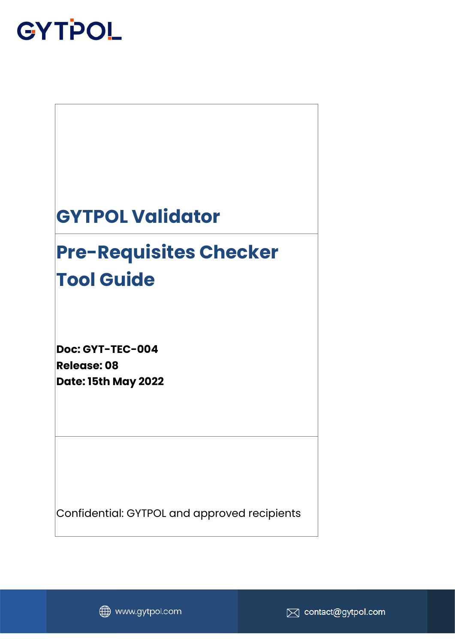

### **GYTPOL Validator**

## **Pre-Requisites Checker Tool Guide**

**Doc: GYT-TEC-004 Release: 08 Date: 15th May 2022**

Confidential: GYTPOL and approved recipients



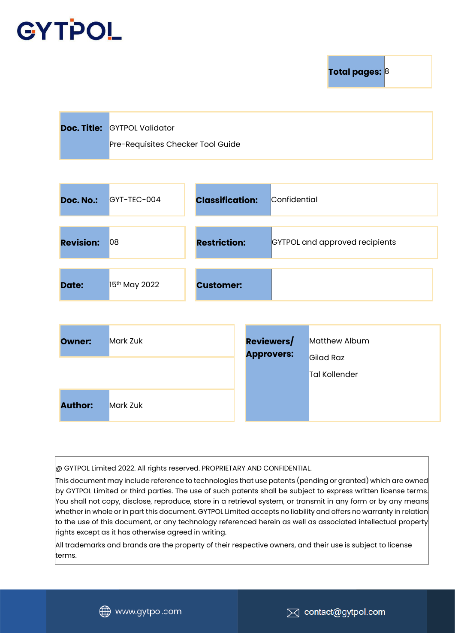**Total pages: 8** 

| <b>Doc. Title: GYTPOL Validator</b> |
|-------------------------------------|
| Pre-Requisites Checker Tool Guide   |

| <b>Doc. No.:</b> | $GYT-TEC-004$             | <b>Classification:</b> | Confidential                   |
|------------------|---------------------------|------------------------|--------------------------------|
| <b>Revision:</b> | 08                        | <b>Restriction:</b>    | GYTPOL and approved recipients |
| Date:            | 15 <sup>th</sup> May 2022 | <b>Customer:</b>       |                                |

| Owner:         | <b>Mark Zuk</b> | <b>Reviewers/</b> | Matthew Album              |
|----------------|-----------------|-------------------|----------------------------|
|                |                 | <b>Approvers:</b> | Gilad Raz<br>Tal Kollender |
| <b>Author:</b> | <b>Mark Zuk</b> |                   |                            |

@ GYTPOL Limited 2022. All rights reserved. PROPRIETARY AND CONFIDENTIAL.

This document may include reference to technologies that use patents (pending or granted) which are owned by GYTPOL Limited or third parties. The use of such patents shall be subject to express written license terms. You shall not copy, disclose, reproduce, store in a retrieval system, or transmit in any form or by any means whether in whole or in part this document. GYTPOL Limited accepts no liability and offers no warranty in relation to the use of this document, or any technology referenced herein as well as associated intellectual property rights except as it has otherwise agreed in writing.

All trademarks and brands are the property of their respective owners, and their use is subject to license terms.

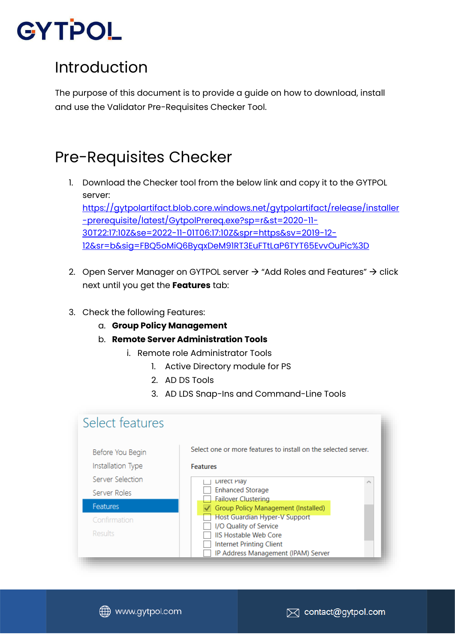#### Introduction

The purpose of this document is to provide a guide on how to download, install and use the Validator Pre-Requisites Checker Tool.

#### Pre-Requisites Checker

- 1. Download the Checker tool from the below link and copy it to the GYTPOL server: [https://gytpolartifact.blob.core.windows.net/gytpolartifact/release/installer](https://gytpolartifact.blob.core.windows.net/gytpolartifact/release/installer-prerequisite/latest/GytpolPrereq.exe?sp=r&st=2020-11-30T22:17:10Z&se=2022-11-01T06:17:10Z&spr=https&sv=2019-12-12&sr=b&sig=FBQ5oMiQ6ByqxDeM91RT3EuFTtLaP6TYT65EvvOuPic%3D) [-prerequisite/latest/GytpolPrereq.exe?sp=r&st=2020-11-](https://gytpolartifact.blob.core.windows.net/gytpolartifact/release/installer-prerequisite/latest/GytpolPrereq.exe?sp=r&st=2020-11-30T22:17:10Z&se=2022-11-01T06:17:10Z&spr=https&sv=2019-12-12&sr=b&sig=FBQ5oMiQ6ByqxDeM91RT3EuFTtLaP6TYT65EvvOuPic%3D) [30T22:17:10Z&se=2022-11-01T06:17:10Z&spr=https&sv=2019-12-](https://gytpolartifact.blob.core.windows.net/gytpolartifact/release/installer-prerequisite/latest/GytpolPrereq.exe?sp=r&st=2020-11-30T22:17:10Z&se=2022-11-01T06:17:10Z&spr=https&sv=2019-12-12&sr=b&sig=FBQ5oMiQ6ByqxDeM91RT3EuFTtLaP6TYT65EvvOuPic%3D) [12&sr=b&sig=FBQ5oMiQ6ByqxDeM91RT3EuFTtLaP6TYT65EvvOuPic%3D](https://gytpolartifact.blob.core.windows.net/gytpolartifact/release/installer-prerequisite/latest/GytpolPrereq.exe?sp=r&st=2020-11-30T22:17:10Z&se=2022-11-01T06:17:10Z&spr=https&sv=2019-12-12&sr=b&sig=FBQ5oMiQ6ByqxDeM91RT3EuFTtLaP6TYT65EvvOuPic%3D)
- 2. Open Server Manager on GYTPOL server  $\rightarrow$  "Add Roles and Features"  $\rightarrow$  click next until you get the **Features** tab:
- 3. Check the following Features:
	- a. **Group Policy Management**
	- b. **Remote Server Administration Tools**
		- i. Remote role Administrator Tools
			- 1. Active Directory module for PS
			- 2. AD DS Tools
			- 3. AD LDS Snap-Ins and Command-Line Tools

| Select features                       |                                                                                                                                  |  |  |
|---------------------------------------|----------------------------------------------------------------------------------------------------------------------------------|--|--|
| Before You Begin<br>Installation Type | Select one or more features to install on the selected server.<br><b>Features</b>                                                |  |  |
| Server Selection                      | Direct Play                                                                                                                      |  |  |
| Server Roles                          | <b>Enhanced Storage</b><br><b>Failover Clustering</b>                                                                            |  |  |
| <b>Features</b>                       | Group Policy Management (Installed)                                                                                              |  |  |
| Confirmation                          | Host Guardian Hyper-V Support                                                                                                    |  |  |
| <b>Results</b>                        | I/O Quality of Service<br><b>IIS Hostable Web Core</b><br><b>Internet Printing Client</b><br>IP Address Management (IPAM) Server |  |  |

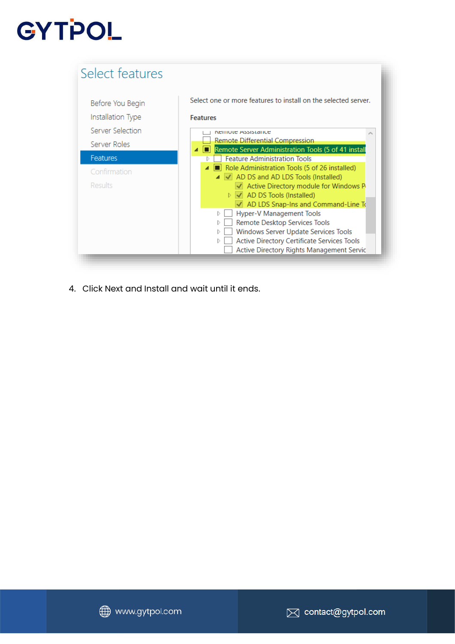| Select features   | Select one or more features to install on the selected server.                                                                                                                                                                                                                                                                                                                                             |
|-------------------|------------------------------------------------------------------------------------------------------------------------------------------------------------------------------------------------------------------------------------------------------------------------------------------------------------------------------------------------------------------------------------------------------------|
| Before You Begin  | <b>Features</b>                                                                                                                                                                                                                                                                                                                                                                                            |
| Installation Type | <b>NUTTION ASSISTATION</b>                                                                                                                                                                                                                                                                                                                                                                                 |
| Server Selection  | Remote Differential Compression                                                                                                                                                                                                                                                                                                                                                                            |
| Server Roles      | Remote Server Administration Tools (5 of 41 instal                                                                                                                                                                                                                                                                                                                                                         |
| <b>Features</b>   | <b>Feature Administration Tools</b>                                                                                                                                                                                                                                                                                                                                                                        |
| Confirmation      | Role Administration Tools (5 of 26 installed)                                                                                                                                                                                                                                                                                                                                                              |
| Results           | ▲ √ AD DS and AD LDS Tools (Installed)<br>$\sqrt{ }$ Active Directory module for Windows P<br>$\triangleright \bigtriangledown$ AD DS Tools (Installed)<br>$\sqrt{ }$ AD LDS Snap-Ins and Command-Line To<br>Hyper-V Management Tools<br>Remote Desktop Services Tools<br>Windows Server Update Services Tools<br>Active Directory Certificate Services Tools<br>Active Directory Rights Management Servic |

4. Click Next and Install and wait until it ends.

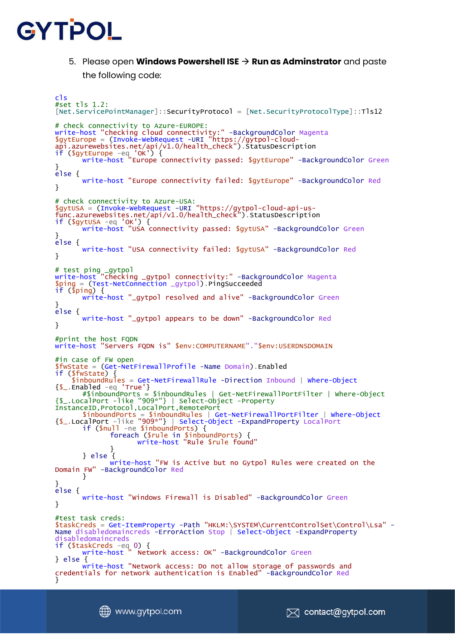

5. Please open **Windows Powershell ISE** → **Run as Adminstrator** and paste the following code:

```
cls
#set tls 1.2:
[Net.ServicePointManager]::SecurityProtocol = [Net.SecurityProtocolType]::Tls12
# check connectivity to Azure-EUROPE:
write-host "checking cloud connectivity:" -BackgroundColor Magenta
$gytEurope = (Invoke-WebRequest -URI "https://gytpol-cloud-
api.azurewebsites.net/api/v1.0/health_check").StatusDescription
if ($gytEurope -eq 'OK') {
       write-host "Europe connectivity passed: $gytEurope" -BackgroundColor Green
}
else {
      write-host "Europe connectivity failed: $gytEurope" -BackgroundColor Red
}
# check connectivity to Azure-USA:
$gytUSA = (Invoke-WebRequest -URI "https://gytpol-cloud-api-us-
func.azurewebsites.net/api/v1.0/health_check").StatusDescription
if ($gytUSA -eq 'OK') {
      write-host "USA connectivity passed: $gytUSA" -BackgroundColor Green
}
else {
      write-host "USA connectivity failed: $gytUSA" -BackgroundColor Red
}
# test ping _gytpol
write-host "checking _gytpol connectivity:" -BackgroundColor Magenta
$ping = (Test-NetConnection _gytpol).PingSucceeded
if ($ping) {
      write-host "_gytpol resolved and alive" -BackgroundColor Green
}
else {
      write-host "_gytpol appears to be down" -BackgroundColor Red
}
#print the host FQDN
write-host "Servers FQDN is" $env:COMPUTERNAME"."$env:USERDNSDOMAIN
#in case of FW open
$fwState = (Get-NetFirewallProfile -Name Domain).Enabled
if ($fwState) {
 $inboundRules = Get-NetFirewallRule -Direction Inbound | Where-Object
{S_{-}}.Enabled -eq 'True'}
       #$inboundPorts = $inboundRules | Get-NetFirewallPortFilter | Where-Object 
{$_.LocalPort -like "909*"} | Select-Object -Property 
InstanceID,Protocol,LocalPort,RemotePort
       $inboundPorts = $inboundRules | Get-NetFirewallPortFilter | Where-Object
{$_.LocalPort -like "909*"} | Select-Object -ExpandProperty LocalPort
       if ($null -ne $inboundPorts) {
             foreach ($rule in $inboundPorts) {
                    write-host "Rule $rule found"
             }
       } else {
             write-host "FW is Active but no Gytpol Rules were created on the 
Domain FW" -BackgroundColor Red
      }
}
else {
      write-host "Windows Firewall is Disabled" -BackgroundColor Green
}
#test task creds:
$taskCreds = Get-ItemProperty -Path "HKLM:\SYSTEM\CurrentControlSet\Control\Lsa" -
Name disabledomaincreds -ErrorAction Stop | Select-Object -ExpandProperty
disabledomaincreds
if ($taskCreds -eq 0) {
       write-host " Network access: OK" -BackgroundColor Green
} else {
      write-host "Network access: Do not allow storage of passwords and 
credentials for network authentication is Enabled" -BackgroundColor Red
}
```


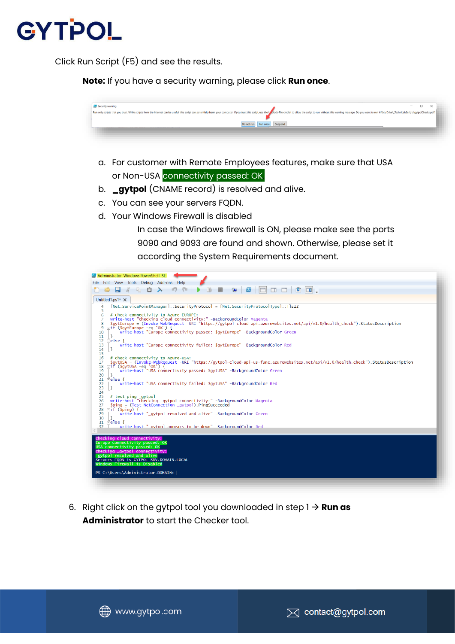

Click Run Script (F5) and see the results.

**Note:** If you have a security warning, please click **Run once**.



- a. For customer with Remote Employees features, make sure that USA or Non-USA connectivity passed: OK.
- b. **\_gytpol** (CNAME record) is resolved and alive.
- c. You can see your servers FQDN.
- d. Your Windows Firewall is disabled

In case the Windows firewall is ON, please make see the ports 9090 and 9093 are found and shown. Otherwise, please set it according the System Requirements document.



6. Right click on the gytpol tool you downloaded in step 1 → **Run as Administrator** to start the Checker tool.

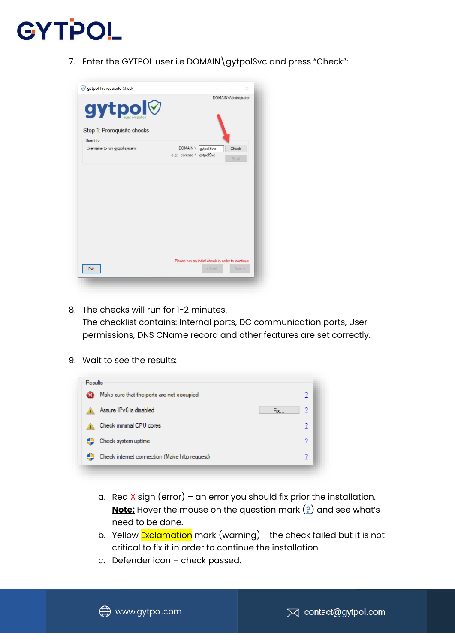7. Enter the GYTPOL user i.e DOMAIN\gytpolSvc and press "Check":

| gytpol Prerequisite Check                    |                                                  | ×                    |
|----------------------------------------------|--------------------------------------------------|----------------------|
| <b>axtbol</b><br>Step 1: Prerequisite checks |                                                  | DOMAIN\Administrator |
| User info                                    |                                                  |                      |
| Usemame to run gytpol system:                | <b>DOMAIN</b><br>gytpolSvc                       | Check                |
|                                              | e.g: contoso \ gytpolSvc                         |                      |
|                                              |                                                  | Fix all              |
|                                              |                                                  |                      |
|                                              | Please run an initial check in order to continue |                      |

8. The checks will run for 1-2 minutes.

The checklist contains: Internal ports, DC communication ports, User permissions, DNS CName record and other features are set correctly.

9. Wait to see the results:

| Results   |                                               |   |
|-----------|-----------------------------------------------|---|
| <b>C3</b> | Make sure that the ports are not occupied     | ? |
|           | Assure IPv6 is disabled<br>Fix                | ? |
|           | Check minimal CPU cores                       | ? |
|           | Check system uptime                           | 2 |
|           | Check internet connection (Make http request) | ? |

- a. Red X sign (error) an error you should fix prior the installation. **Note:** Hover the mouse on the question mark (**?**) and see what's need to be done.
- b. Yellow **Exclamation** mark (warning) the check failed but it is not critical to fix it in order to continue the installation.
- c. Defender icon check passed.



www.gytpol.com